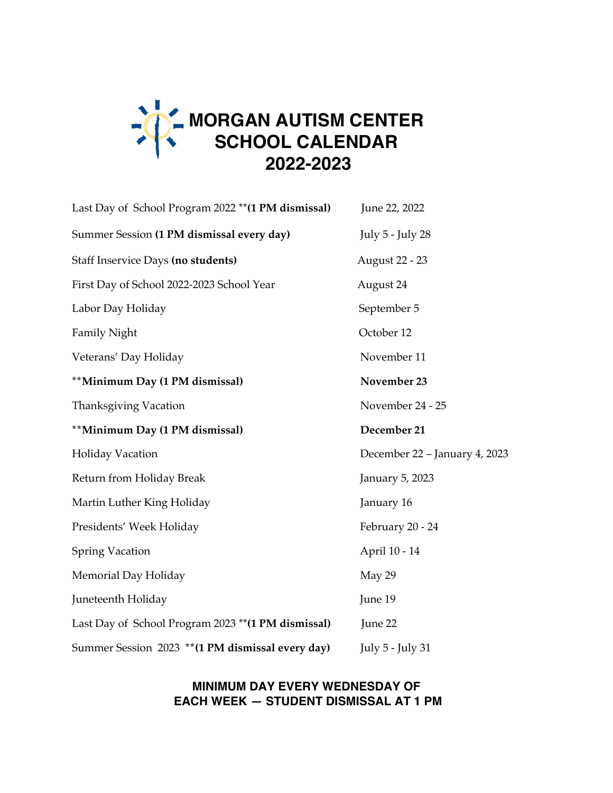

| Last Day of School Program 2022 ** (1 PM dismissal) | June 22, 2022                 |
|-----------------------------------------------------|-------------------------------|
| Summer Session (1 PM dismissal every day)           | July 5 - July 28              |
| Staff Inservice Days (no students)                  | August 22 - 23                |
| First Day of School 2022-2023 School Year           | August 24                     |
| Labor Day Holiday                                   | September 5                   |
| Family Night                                        | October 12                    |
| Veterans' Day Holiday                               | November 11                   |
| **Minimum Day (1 PM dismissal)                      | November 23                   |
| Thanksgiving Vacation                               | November 24 - 25              |
| **Minimum Day (1 PM dismissal)                      | December 21                   |
| <b>Holiday Vacation</b>                             | December 22 - January 4, 2023 |
| Return from Holiday Break                           | January 5, 2023               |
| Martin Luther King Holiday                          | January 16                    |
| Presidents' Week Holiday                            | February 20 - 24              |
| <b>Spring Vacation</b>                              | April 10 - 14                 |
| Memorial Day Holiday                                | May 29                        |
| Juneteenth Holiday                                  | June 19                       |
| Last Day of School Program 2023 ** (1 PM dismissal) | June 22                       |
| Summer Session 2023 ** (1 PM dismissal every day)   | July 5 - July 31              |

## **MINIMUM DAY EVERY WEDNESDAY OF EACH WEEK — STUDENT DISMISSAL AT 1 PM**